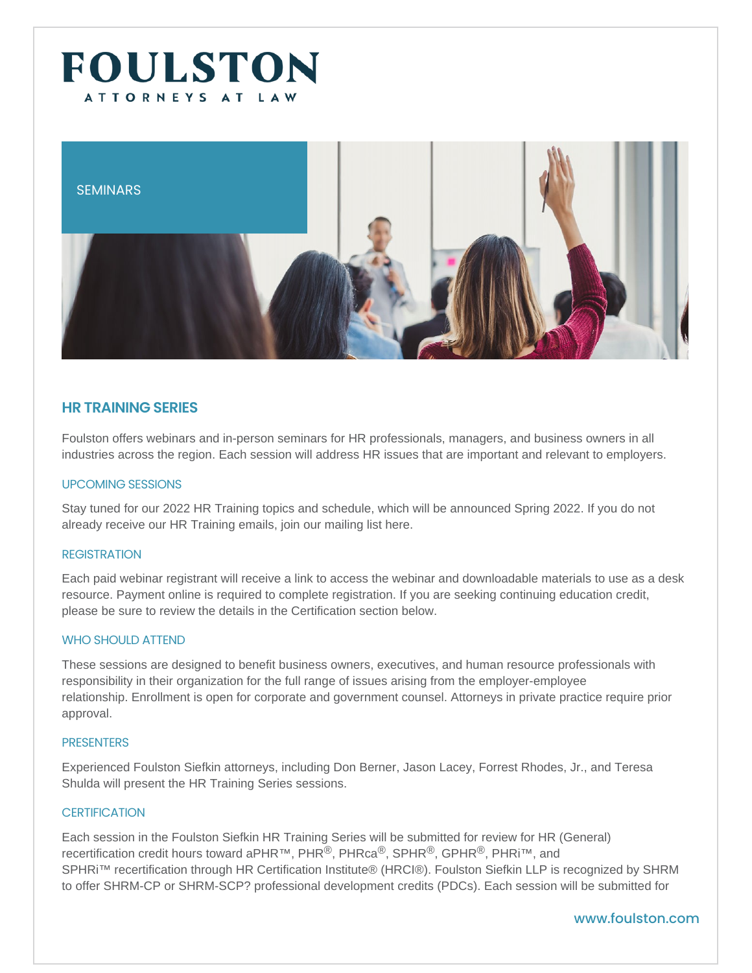## SEMINARS

# HR TRAINING SERIES

Foulston offers webinars and in-person seminars for HR professionals, managers, and business owners in all industries across the region. Each session will address HR issues that are important and relevant to employers.

#### UPCOMING SESSIONS

Stay tuned for our 2022 HR Training topics and schedule, which will be announced Spring 2022. If you do not already receive our HR Training emails, join our mailing list [here.](https://visitor.r20.constantcontact.com/manage/optin/ea?v=001SP04mKN_dE4Seo_ZA2OxOA==)

#### REGISTRATION

Each paid webinar registrant will receive a link to access the webinar and downloadable materials to use as a desk resource. Payment online is required to complete registration. If you are seeking continuing education credit, please be sure to review the details in the Certification section below.

#### WHO SHOULD ATTEND

These sessions are designed to benefit business owners, executives, and human resource professionals with responsibility in their organization for the full range of issues arising from the employer-employee relationship. Enrollment is open for corporate and government counsel. Attorneys in private practice require prior approval.

#### PRESENTERS

Experienced Foulston Siefkin attorneys, including Don Berner, Jason Lacey, Forrest Rhodes, Jr., and Teresa Shulda will present the HR Training Series sessions.

## CERTIFICATION

Each session in the Foulston Siefkin HR Training Series will be submitted for review for HR (General) recertification credit hours toward aPHR™, PHR®, PHRca®, SPHR®, GPHR®, PHRi™, and SPHRi<sup>™</sup> recertification through HR Certification Institute® (HRCI®). Foulston Siefkin LLP is recognized by SHRM to offer SHRM-CP or SHRM-SCP? professional development credits (PDCs). Each session will be submitted for